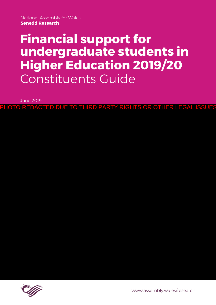# **Financial support for undergraduate students in Higher Education 2019/20** Constituents Guide

June 2019

PHOTO REDACTED DUE TO THIRD PARTY RIGHTS OR OTHER LEGAL

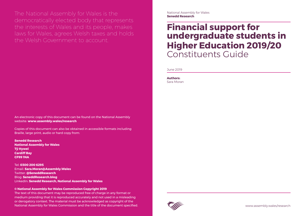The National Assembly for Wales is the democratically elected body that represents the interests of Wales and its people, makes laws for Wales, agrees Welsh taxes and holds the Welsh Government to account.

National Assembly for Wales **Senedd Research**

[www.assembly.wales/research](http://www.assembly.wales/research)

An electronic copy of this document can be found on the National Assembly website: **www.assembly.wales/research**

Copies of this document can also be obtained in accessible formats including Braille, large print, audio or hard copy from:

**Senedd Research National Assembly for Wales Tŷ Hywel Cardiff Bay CF99 1NA**

Tel: **0300 200 6295** Email: **[Sara.Moran@Assembly.Wales](mailto:Sara.Moran%40Assembly.Wales?subject=)** Twitter: **[@SeneddResearch](http://www.twitter.com/@SeneddResearch)** Blog: **[SeneddResearch.blog](http://SeneddResearch.blog)** LinkedIn: **[Senedd Research, National Assembly for Wales](https://www.linkedin.com/company/senedd-research-national-assembly-for-wales)**

### **© National Assembly for Wales Commission Copyright 2019**

The text of this document may be reproduced free of charge in any format or medium providing that it is reproduced accurately and not used in a misleading or derogatory context. The material must be acknowledged as copyright of the National Assembly for Wales Commission and the title of the document specified. **Authors:**  Sara Moran



# **Financial support for undergraduate students in Higher Education 2019/20** Constituents Guide

June 2019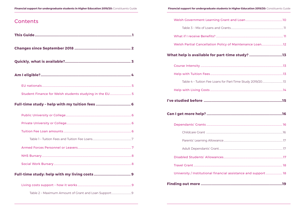## Contents

| Student Finance for Welsh students studying in the EU 5 |
|---------------------------------------------------------|
|                                                         |
|                                                         |
|                                                         |
|                                                         |
|                                                         |
|                                                         |
|                                                         |
|                                                         |
|                                                         |
|                                                         |
|                                                         |

| Welsh Partial Cancellation Policy of Maintenance Loan12         |  |
|-----------------------------------------------------------------|--|
| What help is available for part-time study? 13                  |  |
|                                                                 |  |
|                                                                 |  |
|                                                                 |  |
|                                                                 |  |
|                                                                 |  |
|                                                                 |  |
|                                                                 |  |
|                                                                 |  |
|                                                                 |  |
|                                                                 |  |
|                                                                 |  |
|                                                                 |  |
| University / Institutional financial assistance and support  18 |  |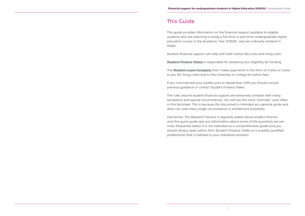## <span id="page-3-0"></span>This Guide

This guide provides information on the financial support available to eligible students who are planning to study a full-time or part-time undergraduate higher education course in the Academic Year 2019/20 and are ordinarily resident in Wales..

Student financial support can help with both tuition fee costs and living costs.

**[Student Finance Wales](https://www.studentfinancewales.co.uk/)** is responsible for assessing your eligibility for funding.

The **[Student Loans Company](https://www.slc.co.uk/)** then makes payments in the form of Grants or Loans to you (for living costs) and to the University or College for tuition fees.

If you commenced your studies prior to September 2019 you should consult previous guidance or contact Student Finance Wales.

The rules around student financial support are extremely complex with many exceptions and special circumstances. You will see the word "normally" used often in this factsheet. This is because this document is intended as a general guide and does not cover every single circumstance or entitlement possibility.

*Disclaimer: The Research Service is regularly asked about student finance and this quick guide sets out information about some of the questions we are most frequently asked. It is not intended as a comprehensive guide and you should always seek advice from Student Finance Wales or a suitably qualified professional that is tailored to your individual situation.*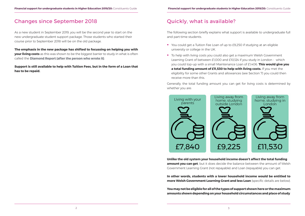## <span id="page-4-0"></span>Changes since September 2018

As a new student in September 2019, you will be the second year to start on the new undergraduate student support package. Those students who started their course prior to September 2018 will be on the old package.

**The emphasis in the new package has shifted to focussing on helping you with your living costs** as this was shown to be the biggest barrier to study in what is often called the **[Diamond Report](https://gov.wales/sites/default/files/publications/2018-02/higher-education-funding-final-report-en.pdf) (after the person who wrote it)**.

**Support is still available to help with Tuition Fees, but in the form of a Loan that has to be repaid.** 

- You could get a Tuition Fee Loan of up to £9,250 if studying at an eligible university or college in the UK.
- To help with living costs you could also get a maximum Welsh Government Learning Grant of between £1,000 and £10,124 if you study in London - which you could top-up with a small Maintenance Loan of £1,406. **This would give you a total funding amount of £11,530 to help with living costs.** If you met the
	- receive more than this.

## Quickly, what is available?

The following section briefly explains what support is available to undergraduate full and part-time students.

eligibility for some other Grants and allowances (see Section 7) you could then

Generally, the total funding amount you can get for living costs is determined by whether you are:



**Unlike the old system your household income doesn't affect the total funding amount you can get**, but it does decide the balance between the amount of Welsh Government Learning Grant (not repayable) and Loan (repayable) you can get.

**In other words, students with a lower household income would be entitled to more Welsh Government Learning Grant and less Loan** (specific details are below).

**You may not be eligible for all of the types of support shown here or the maximum amounts shown depending on your household circumstances and place of study**.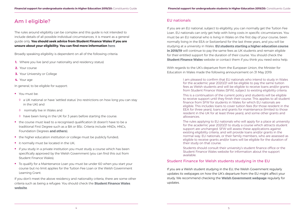## <span id="page-5-0"></span>Am I eligible?

The rules around eligibility can be complex and this guide is not intended to include details of all possible individual circumstances, it is meant as a general guide only. **You should seek advice from Student Finance Wales if you are unsure about your eligibility. You can find more information [here](https://www.studentfinancewales.co.uk/undergraduate-students/new-students.aspx)**.

Broadly speaking eligibility is dependent on all of the following criteria:

- **1.** Where you live (and your nationality and residency status)
- **2.** Your course
- **3.** Your University or College
- **4.** Your age

In general, to be eligible for support:

- **You must be:** 
	- ◊ a UK national or have 'settled status' (no restrictions on how long you can stay in the UK) and
	- ◊ normally live in Wales and
	- ◊ have been living in the UK for 3 years before starting the course.
- the course must lead to a recognised qualification (it doesn't have to be a traditional First Degree such as a BA or BSc. Criteria include HNDs, HNCs, Foundation Degrees **[and others](https://www.studentfinancewales.co.uk/undergraduate-students/new-students.aspx)**);
- the higher education institution or college must be publicly funded;
- $\blacksquare$  it normally must be located in the UK;
- **i** if you study in a private institution you must study a course which has been specifically approved by the Welsh Government (you can find this out from Student Finance Wales);
- To qualify for a Maintenance Loan you must be under 60 when you start your course but no limit applies for the Tuition Fee Loan or the Welsh Government Learning Grant.

If you are an EU national, subject to eligibility, you can normally get the Tuition Fee Loan. EU nationals can only get help with living costs in specific circumstances. You must be an EU national who is living in Wales on the first day of your course, been normally living in the EEA or Switzerland for the last three years, and you will be studying at a university in Wales. **[EU students starting a higher education course](https://www.studentfinancewales.co.uk/eu/eu-student-finance-available-in-201920.aspx)  [in 2018/19](https://www.studentfinancewales.co.uk/eu/eu-student-finance-available-in-201920.aspx)** will continue to pay the same fees as UK students and remain eligible for their entitled support for the duration of their course. You should check the **[Student Finance Wales](https://www.studentfinancewales.co.uk/undergraduate-students/new-students.aspx)** website or contact them if you think you need extra help.

If you don't meet the above residency and nationality criteria, there are some other criteria such as being a refugee. You should check the **[Student Finance Wales](https://www.studentfinancewales.co.uk/undergraduate-students/new-students.aspx)  [website](https://www.studentfinancewales.co.uk/undergraduate-students/new-students.aspx)**.

## EU nationals

With regards to the UK's departure from the European Union, the Minister for Education in Wales made the following announcement on 31 May 2019:

> I am pleased to confirm that EU nationals who intend to study in Wales for the academic year 2020/21 will be eligible to pay the same tuition fees as Welsh students and will be eligible to receive loans and/or grants from Student Finance Wales (SFW), subject to existing eligibility criteria.

This is a continuation of the current policy and students will be eligible to receive support until they finish their course. This applies to all student finance from SFW for students in Wales for which EU nationals are eligible. This includes loans to cover tuition fees (for those resident in the EEA for three years), loans and grants for maintenance (limited to those resident in the UK for at least three years), and some other grants and allowances.

The rules applying to EU nationals who will apply for a place at university for the academic year 2020/21 to study a course which attracts student support are unchanged. SFW will assess these applications against existing eligibility criteria, and will provide loans and/or grants in the normal way. EU nationals, or their family members, who are assessed as eligible to receive grants and/or loans will be eligible for the duration of their study on that course.

Students should consult their university's student finance office or the Student Finance Wales website for information about the support available.

## Student Finance for Welsh students studying in the EU

If you are a Welsh student studying in the EU, the Welsh Government regularly updates its webpages on how the UK's departure from the EU might affect your study. We recommend checking the **[Welsh Government webpage](https://gov.wales/preparing-wales-brexit/education-and-skills)** regularly for updates.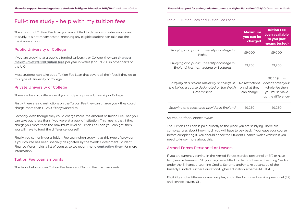## <span id="page-6-0"></span>Full-time study – help with my tuition fees

The amount of Tuition Fee Loan you are entitled to depends on where you want to study. It is not means tested, meaning any eligible student can take out the maximum amount.

## Public University or College

If you are studying at a publicly-funded University or College, they can **[charge a](https://www.studentfinancewales.co.uk/undergraduate-students/new-students/what-financial-support-is-available/tuition-fee-support.aspx)  [maximum of £9,000 tuition fees](https://www.studentfinancewales.co.uk/undergraduate-students/new-students/what-financial-support-is-available/tuition-fee-support.aspx)** per year in Wales (and £9,250 in other parts of the UK).

Most students can take out a Tuition Fee Loan that covers all their fees if they go to this type of University or College.

## Private University or College

There are two big differences if you study at a private University or College.

Firstly, there are no restrictions on the Tuition Fee they can charge you – they could charge more than £9,250 if they wanted to.

Secondly, even though they could charge more, the amount of Tuition Fee Loan you can take out is less than if you were at a public institution. This means that if they charge you more than the maximum level of Tuition Fee Loan you can get, then you will have to fund the difference yourself.

Finally, you can only get a Tuition Fee Loan when studying at this type of provider if your course has been specially designated by the Welsh Government. Student Finance Wales holds a list of courses so we recommend **[contacting them](https://www.studentfinancewales.co.uk/contact.aspx)** for more information.

## Tuition Fee Loan amounts

The table below shows Tuition Fee levels and Tuition Fee Loan amounts.

Table 1 – Tuition Fees and Tuition Fee Loans

*Source: Student Finance Wales*

The Tuition Fee Loan is paid directly to the place you are studying. There are complex rules about how much you will have to pay back if you leave your course before completing it. You should check the Student Finance Wales website if you need to know more about this.

## Armed Forces Personnel or Leavers

If you are currently serving in the Armed Forces (service personnel or SP) or have left (Service Leavers or SL) you may be entitled to claim Enhanced Learning Credits under the Enhanced Learning Credits Scheme and/or take advantage of the Publicly Funded Further Education/Higher Education scheme (PF HE/HE).

Eligibility and entitlements are complex, and differ for current service personnel (SP) and service leavers (SL).

*Studying at a public university or college in* 

Studying at a public university or college **England, Northern Ireland or Scotland** 

|                                                                    | <b>Maximum</b><br>you can be<br>charged       | <b>Tuition Fee</b><br><b>Loan available</b><br>to you (not<br>means tested)                    |
|--------------------------------------------------------------------|-----------------------------------------------|------------------------------------------------------------------------------------------------|
| lic university or college in<br>Wales                              | £9,000                                        | £9,000                                                                                         |
| lic university or college in<br>rn Ireland or Scotland             | £9,250                                        | £9,250                                                                                         |
| te university or college in<br>designated by the Welsh<br>/ernment | No restrictions<br>on what they<br>can charge | £6,165 (if this<br>doesn't cover your<br>whole fee then<br>you must make<br>up the difference) |
| tered provider in England                                          | £9,250                                        | £9,250                                                                                         |

*Studying at a private university or college in the UK on a course designated by the Welsh Government*

*Studying at a registered provider in Englo*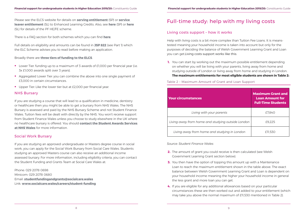<span id="page-7-0"></span>Please see the ELCS website for details on **[serving entitlement](http://www.enhancedlearningcredits.com/serving-personnel/claiming-elc-personnel)** (SP) or **[service](http://www.enhancedlearningcredits.com/service-leaver/ex-service-guidance)  [leaver entitlement](http://www.enhancedlearningcredits.com/service-leaver/ex-service-guidance)** (SL) to Enhanced Learning Credits. Also, see **[here](http://www.enhancedlearningcredits.com/serving-personnel/claiming-publicly-personnel)** (SP) or **[here](http://www.enhancedlearningcredits.com/service-leaver/claiming-publicly-leaver)** (SL) for details of the PF HE/FE scheme.

There is a FAQ section for both schemes which you can find **[here](http://www.enhancedlearningcredits.com/faqs)**.

Full details on eligibility and amounts can be found in **[JSP 822](https://assets.publishing.service.gov.uk/government/uploads/system/uploads/attachment_data/file/600177/20170317-JSP_822_Part_1-Final.pdf)** (see Part 1) which the ELC Scheme advises you to read before making an application.

### Broadly there are **three tiers of funding to the ELCS**.

- **Lower Tier: funding up to a maximum of 3 awards of £1,000 per financial year (i.e.**) 3x £1,000 awards split over 3 years).
- Aggregated Lower Tier: you can combine the above into one single payment of £3,000 in certain circumstances.
- Upper Tier: Like the lower tier but at £2,000 per financial year.

### NHS Bursary

If you are studying a course that will lead to a qualification in medicine, dentistry or healthcare then you might be able to get a bursary from NHS Wales. The NHS Bursary is assessed and paid by the NHS Bursary Scheme and not Student Finance Wales. Tuition fees will be dealt with directly by the NHS. You won't receive support from Student Finance Wales unless you choose to study elsewhere in the UK where no healthcare bursary is offered. You should **[contact the Student Awards Services](http://www.nwssp.wales.nhs.uk/student-awards)  [at NHS Wales](http://www.nwssp.wales.nhs.uk/student-awards)** for more information.

### Social Work Bursary

If you are studying an approved undergraduate or Masters degree course in social work, you can apply for the Social Work Bursary from Social Care Wales. Students studying an approved Masters course can also receive an additional income assessed bursary. For more information, including eligibility criteria, you can contact the Student Funding and Grants Team at Social Care Wales at:

Phone: 029 2078 0698 Minicom: 029 2078 0680 Email: **[studentfundingandgrants@socialcare.wales](mailto:studentfundingandgrants@socialcare.wales)** Link: **[www.socialcare.wales/careers/student-funding](http://www.socialcare.wales/careers/student-funding)**

## Full-time study: help with my living costs

## Living costs support – how it works

Help with living costs is a bit more complex than Tuition Fee Loans. It is meanstested meaning your household income is taken into account but only for the purposes of deciding the balance of Welsh Government Learning Grant and Loan you can get.Living costs support works like this:

**1.** You can start by working out the maximum possible entitlement depending on whether you will be living with your parents, living away from home and studying outside of London or living away from home and studying in London.

**The maximum entitlements for most eligible students are shown in Table 2:**

### Table 2 – Maximum Amount of Grant and Loan Support

*Source: Student Finance Wales*

balance between Welsh Government Learning Grant and Loan is dependent on your household income meaning the higher your household income in general

- **2.** The amount of grant you could receive is then calculated (see Welsh Government Learning Grant section below).
- **3.** You then have the option of topping this amount up with a Maintenance Loan to reach the maximum entitlement shown in the table above. The exact the less grant and more loan you can get.
- **4.** If you are eligible for any additional allowances based on your particular may take you above the normal maximum of £11,530 mentioned in Table 2).

circumstances these are then worked out and added to your entitlement (which

### **Your circumstances**

Living with your parents

Living away from home and studying out

Living away from home and studying

|              | <b>Maximum Grant and</b><br><b>Loan Amount for</b><br><b>Full-Time Students</b> |
|--------------|---------------------------------------------------------------------------------|
|              | £7,840                                                                          |
| tside London | £9,225                                                                          |
| in London    | £11,530                                                                         |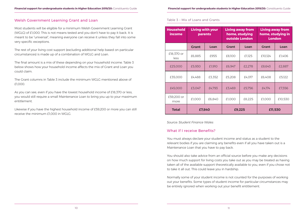### <span id="page-8-0"></span>Welsh Government Learning Grant and Loan

Most students will be eligible for a minimum Welsh Government Learning Grant (WGLG) of £1,000. This is not means tested and you don't have to pay it back. It is meant to be "universal", meaning everyone can receive it unless they fall into some very specific exceptions.

The rest of your living cost support (excluding additional help based on particular circumstances) is made up of a combination of WGLG and Loan.

The final amount is a mix of these depending on your household income. Table 3 below shows how your household income affects the mix of Grant and Loan you could claim.

The Grant columns in Table 3 include the minimum WGLG mentioned above of £1,000.

As you can see, even if you have the lowest household income of £18,370 or less, you would still require a small Maintenance Loan to bring you up to your maximum entitlement.

Likewise if you have the highest household income of £59,200 or more you can still receive the minimum £1,000 in WGLG.

### Table 3 – Mix of Loans and Grants

*Source: Student Finance Wales*

## What if I receive Benefits?

You must always declare your student income and status as a student to the relevant bodies if you are claiming any benefits even if all you have taken out is a Maintenance Loan that you have to pay back.

You should also take advice from an official source before you make any decisions on how much support for living costs you take out as you may be treated as having taken all of the available support theoretically available to you, even if you chose not to take it all out. This could leave you in hardship.

Normally some of your student income is not counted for the purposes of working out your benefits. Some types of student income for particular circumstances may be entirely ignored when working out your benefit entitlement.

| <b>Household</b><br>income | Living with your<br>parents |        | <b>Living away from</b><br>home, studying<br>outside London |        | <b>Living away from</b><br>home, studying in<br><b>London</b> |         |
|----------------------------|-----------------------------|--------|-------------------------------------------------------------|--------|---------------------------------------------------------------|---------|
|                            | <b>Grant</b>                | Loan   | <b>Grant</b>                                                | Loan   | <b>Grant</b>                                                  | Loan    |
| £18,370 or<br>less         | £6,885                      | £955   | £8,100                                                      | £1,125 | £10,124                                                       | £1,406  |
| £25,000                    | £5,930                      | £1,910 | £6,947                                                      | £2,278 | £8,643                                                        | £2,887  |
| £35,000                    | £4,488                      | £3,352 | £5,208                                                      | £4,017 | £6,408                                                        | £5,122  |
| £45,000                    | £3,047                      | £4,793 | £3,469                                                      | £5,756 | £4,174                                                        | £7,356  |
| £59,200 or<br>more         | £1,000                      | £6,840 | £1,000                                                      | £8,225 | £1,000                                                        | £10,530 |
| <b>Total</b>               | £7,840                      |        | £9,225                                                      |        | £11,530                                                       |         |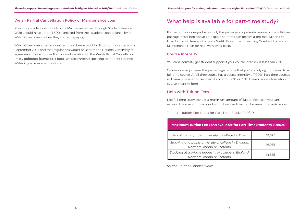## <span id="page-9-0"></span>Welsh Partial Cancellation Policy of Maintenance Loan

Previously, students who took out a Maintenance Loan through Student Finance Wales, could have up to £1,500 cancelled from their student Loan balance by the Welsh Government when they started repaying.

Welsh Government has announced the scheme would still run for those starting in September 2019, and that regulations would be sent to the National Assembly for agreement in due course. For more information on the Welsh Partial Cancellation Policy **[guidance is available here](https://www.studentfinancewales.co.uk/media/198481/sfw-repayments-guidance-ay-19-20-v20.pdf)**. We recommend speaking to Student Finance Wales if you have any questions.

## What help is available for part-time study?

For part-time undergraduate study the package is a pro-rata version of the full-time package described above, i.e. eligible students can receive a pro-rata Tuition Fee Loan for tuition fees and pro-rata Welsh Government Learning Grant and pro-rata Maintenance Loan for help with living costs.

## Course Intensity

You can't normally get student support if your course intensity is less than 25%.

Course intensity means the percentage of time that you're studying compared to a full-time course. A full-time course has a course intensity of 100%. Part-time courses will usually have a course intensity of 25%, 50% or 75%. There's more information on course intensity **here**.

## Help with Tuition Fees

Like full-time study there is a maximum amount of Tuition Fee Loan you can receive. The maximum amounts of Tuition Fee Loan can be seen in Table 4 below.

Table 4 – Tuition Fee Loans for Part-Time Study 2019/20

*Source: Student Finance Wales*

| <b>Maximum Tuition Fee Loan available for Part-Time Students 2019/20</b>                |        |
|-----------------------------------------------------------------------------------------|--------|
| Studying at a public university or college in Wales                                     | £2,625 |
| Studying at a public university or college in England,<br>Northern Ireland or Scotland  | £6,935 |
| Studying at a private university or college in England,<br>Northern Ireland or Scotland | £4.625 |

| I Tuition Fee Loan available for Part-Time Students 2019/20 ا               |        |  |  |
|-----------------------------------------------------------------------------|--------|--|--|
| It a public university or college in Wales                                  | £2,625 |  |  |
| a public university or college in England,<br>Northern Ireland or Scotland  | £6,935 |  |  |
| a private university or college in England,<br>Northern Ireland or Scotland | £4,625 |  |  |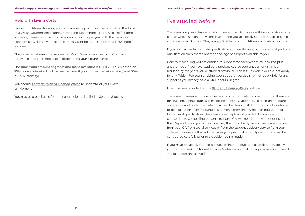## <span id="page-10-0"></span>Help with Living Costs

Like with full-time students, you can receive help with your living costs in the form of a Welsh Government Learning Grant and Maintenance Loan. Also like full-time students, these are subject to maximum amounts per year with the balance of Loan versus Welsh Government Learning Grant being based on your household income.

The balance between the amount of Welsh Government Learning Grant (not repayable) and Loan (repayable) depends on your circumstances.

The **[maximum amount of grants and loans available is £5,111.25](https://www.studentfinancewales.co.uk/undergraduate-students/part-time-students/part-time-student-finance-available-in-201920.aspx)**. This is based on 75% course intensity. It will be less per year if your course is less-intensive (i.e. at 50% or 25% intensity).

You should **[contact Student Finance Wales](https://www.studentfinancewales.co.uk/contact.aspx)** to understand your exact entitlement.

You may also be eligible for additional help as detailed in Section 8 below.

## I've studied before

There are complex rules on what you are entitled to if you are thinking of studying a course which is of an equivalent level to one you've already studied, regardless of if you completed it or not. They are applicable to both full-time and part-time study.

If you hold an undergraduate qualification and are thinking of doing a postgraduate qualification then there's another package of support available to you.

Generally speaking you are entitled to support for each year of your course plus another year. If you have studied a previous course your entitlement may be reduced by the years you've studied previously. This is true even if you did not apply for any Tuition Fee Loan or Living Cost support. You also may not be eligible for any support if you already hold a UK Honours Degree.

Examples are provided on the **[Student Finance Wales](https://www.studentfinancewales.co.uk/undergraduate-students/new-students/previous-study-rules.aspx)** website.

There are however a number of exceptions for particular courses of study. These are for students taking courses in medicine, dentistry, veterinary science, architecture, social work and undergraduate Initial Teacher Training (ITT). Students will continue to be eligible for loans for living costs, even if they already hold an equivalent or higher level qualification. There are also exceptions if you didn't complete your course due to compelling personal reasons. You will need to provide evidence of this. Depending on your circumstances, this could be by way of medical evidence from your GP, from social services or from the student advisory service from your college or university that substantiates your personal or family crisis. These will be considered carefully prior to a decision being made.

If you have previously studied a course of higher education at undergraduate level you should speak to Student Finance Wales before making any decisions and see if you fall under an exemption.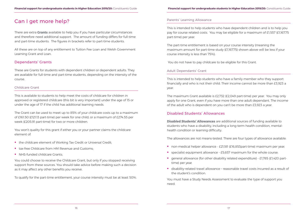## <span id="page-11-0"></span>Can I get more help?

There are extra **[Grants](https://www.studentfinancewales.co.uk/undergraduate-students/part-time-students/part-time-student-finance-available-in-201920.aspx)** available to help you if you have particular circumstances and therefore need additional support. The amount of funding differs for full-time and part-time students. The figures in brackets refer to part-time students.

All these are on top of any entitlement to Tuition Fee Loan and Welsh Government Learning Grant and Loan.

## Dependants' Grants

These are Grants for students with dependent children or dependent adults. They are available for full-time and part-time students, depending on the intensity of the course.

### Childcare Grant

This is available to students to help meet the costs of childcare for children in approved or registered childcare (this bit is very important) under the age of 15 or under the age of 17 if the child has additional learning needs.

The Grant can be used to meet up to 85% of your childcare costs up to a maximum of £161.50 (£121.13 part-time) per week for one child, or a maximum of £274.55 per week (£205.91 part-time) for two or more children.

You won't quality for this grant if either you or your partner claims the childcare element of:

- **the childcare element of Working Tax Credit or Universal Credit;**
- **thax-free Childcare from HM Revenue and Customs:**
- **NHS-funded childcare Grants:**

**[Disabled Students' Allowances](https://www.studentfinancewales.co.uk/undergraduate-students/new-students/what-financial-support-is-available/disabled-students-allowances.aspx)** are additional sources of funding available to students who have a disability, including a long-term health condition, mentalhealth condition or learning difficulty.

You could choose to receive the Childcare Grant, but only if you stopped receiving support from these sources. You should take advice before making such a decision as it may affect any other benefits you receive.

- non-medical helper allowance £21,181 (£16,853part-time) maximum per year;
- **specialist equipment allowance £5,657 maximum for the whole course;**
- general allowance (for other disability related expenditure) £1,785 (£1,420 parttime) per year;
- disability-related travel allowance reasonable travel costs incurred as a result of the student's condition.

To qualify for the part-time entitlement, your course intensity must be at least 50%.

### Parents' Learning Allowance

This is intended to help students who have dependent children and is to help you pay for course related costs. You may be eligible for a maximum of £1,557 (£1,167.75 part-time) per year.

The part-time entitlement is based on your course intensity (meaning the maximum amount for part-time study (£1,167.75) shown above will be less if your course intensity is less than 75%).

You do not have to pay childcare to be eligible for this Grant.

### Adult Dependants' Grant

This is intended to help students who have a family member who they support financially and who is not their child. Their income cannot be more than £3,923 a year.

The maximum Grant available is £2,732 (£2,049 part-time) per year. You may only apply for one Grant, even if you have more than one adult dependant. The income of the adult who is dependent on you can't be more than £3,923 a year.

## Disabled Students' Allowances

The allowances are not means-tested. There are four types of allowance available:

You must have a Study Needs Assessment to evaluate the type of support you need.